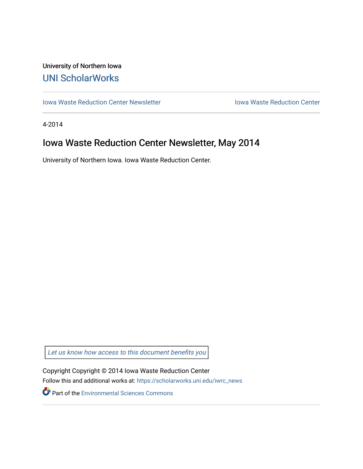## University of Northern Iowa [UNI ScholarWorks](https://scholarworks.uni.edu/)

[Iowa Waste Reduction Center Newsletter](https://scholarworks.uni.edu/iwrc_news) **Internal Communist Communist Center** Iowa Waste Reduction Center

4-2014

# Iowa Waste Reduction Center Newsletter, May 2014

University of Northern Iowa. Iowa Waste Reduction Center.

Let us know how access to this document benefits you

Copyright Copyright © 2014 Iowa Waste Reduction Center Follow this and additional works at: [https://scholarworks.uni.edu/iwrc\\_news](https://scholarworks.uni.edu/iwrc_news?utm_source=scholarworks.uni.edu%2Fiwrc_news%2F77&utm_medium=PDF&utm_campaign=PDFCoverPages) 

**Part of the [Environmental Sciences Commons](http://network.bepress.com/hgg/discipline/167?utm_source=scholarworks.uni.edu%2Fiwrc_news%2F77&utm_medium=PDF&utm_campaign=PDFCoverPages)**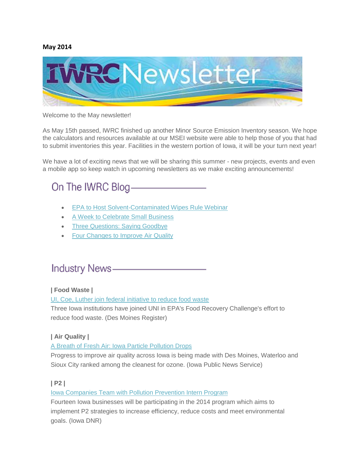#### **May 2014**



#### Welcome to the May newsletter!

As May 15th passed, IWRC finished up another Minor Source Emission Inventory season. We hope the calculators and resources available at our MSEI website were able to help those of you that had to submit inventories this year. Facilities in the western portion of Iowa, it will be your turn next year!

We have a lot of exciting news that we will be sharing this summer - new projects, events and even a mobile app so keep watch in upcoming newsletters as we make exciting announcements!

# On The IWRC Blog-

- **[EPA to Host Solvent-Contaminated Wipes Rule Webinar](http://iwrc.org/blog/epa-to-host-solvent-contaminated-wipes-rule-webinar/)**
- [A Week to Celebrate Small Business](http://iwrc.org/blog/a-week-to-celebrate-small-businesses/)
- [Three Questions: Saying Goodbye](http://iwrc.org/blog/three-questions-saying-goodbye/)
- [Four Changes to Improve Air Quality](http://iwrc.org/blog/changes-improve-air-quality/)

## **Industry News-**

#### **| Food Waste |**

[UI, Coe, Luther join federal initiative to reduce food waste](http://www.desmoinesregister.com/story/money/agriculture/green-fields/2014/04/25/university-of-iowa-coe-college-luther-college-epa-food-recovery/8145843/)

Three Iowa institutions have joined UNI in EPA's Food Recovery Challenge's effort to reduce food waste. (Des Moines Register)

#### **| Air Quality |**

[A Breath of Fresh Air: Iowa Particle Pollution Drops](http://www.publicnewsservice.org/2014-05-02/climate-change-air-quality/a-breath-of-fresh-air-iowa-particle-pollution-drops/a39124-1#sthash.JNja8snG.dpuf)

Progress to improve air quality across Iowa is being made with Des Moines, Waterloo and Sioux City ranked among the cleanest for ozone. (Iowa Public News Service)

#### **| P2 |**

#### [Iowa Companies Team with Pollution Prevention Intern Program](http://www.iowadnr.gov/idnr/insidednr/socialmediapressroom/newsreleases/vw/1/itemid/1978)

Fourteen Iowa businesses will be participating in the 2014 program which aims to implement P2 strategies to increase efficiency, reduce costs and meet environmental goals. (Iowa DNR)